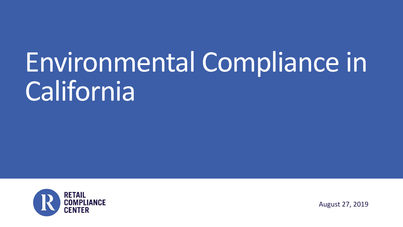# Environmental Compliance in **California**



August 27, 2019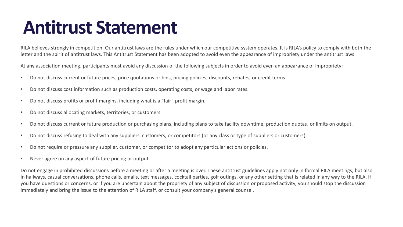## **Antitrust Statement**

RILA believes strongly in competition. Our antitrust laws are the rules under which our competitive system operates. It is RILA's policy to comply with both the letter and the spirit of antitrust laws. This Antitrust Statement has been adopted to avoid even the appearance of impropriety under the antitrust laws.

At any association meeting, participants must avoid any discussion of the following subjects in order to avoid even an appearance of impropriety:

- Do not discuss current or future prices, price quotations or bids, pricing policies, discounts, rebates, or credit terms.
- Do not discuss cost information such as production costs, operating costs, or wage and labor rates.
- Do not discuss profits or profit margins, including what is a "fair" profit margin.
- Do not discuss allocating markets, territories, or customers.
- Do not discuss current or future production or purchasing plans, including plans to take facility downtime, production quotas, or limits on output.
- Do not discuss refusing to deal with any suppliers, customers, or competitors (or any class or type of suppliers or customers).
- Do not require or pressure any supplier, customer, or competitor to adopt any particular actions or policies.
- Never agree on any aspect of future pricing or output.

Do not engage in prohibited discussions before a meeting or after a meeting is over. These antitrust guidelines apply not only in formal RILA meetings, but also in hallways, casual conversations, phone calls, emails, text messages, cocktail parties, golf outings, or any other setting that is related in any way to the RILA. If you have questions or concerns, or if you are uncertain about the propriety of any subject of discussion or proposed activity, you should stop the discussion immediately and bring the issue to the attention of RILA staff, or consult your company's general counsel.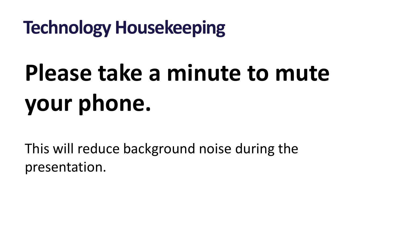**Technology Housekeeping**

# **Please take a minute to mute your phone.**

This will reduce background noise during the presentation.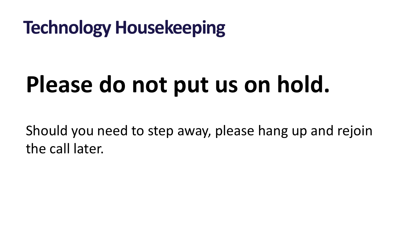# **Technology Housekeeping**

# **Please do not put us on hold.**

Should you need to step away, please hang up and rejoin the call later.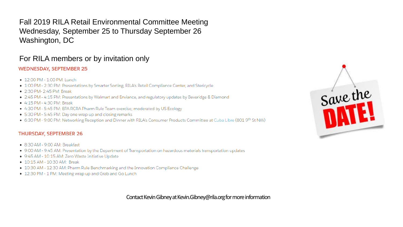Fall 2019 RILA Retail Environmental Committee Meeting Wednesday, September 25 to Thursday September 26 Washington, DC

#### For RILA members or by invitation only

#### **WEDNESDAY, SEPTEMBER 25**

- 12:00 PM 1:00 PM: Lunch
- · 1:00 PM 2:30 PM: Presentations by Smarter Sorting, RILA's Retail Compliance Center, and Stericycle
- 2:30 PM- 2:45 PM: Break
- 2:45 PM 4:15 PM: Presentations by Walmart and Enviance, and regulatory updates by Beveridge & Diamond
- 4:15 PM 4:30 PM: Break
- 4:30 PM 5:45 PM: EPA RCRA Pharm Rule Team exercise; moderated by US Ecology
- 5:30 PM 5:45 PM: Day one wrap up and closing remarks
- 6:30 PM 9:00 PM: Networking Reception and Dinner with RILA's Consumer Products Committee at Cuba Libre (801 9th St NW)

#### **THURSDAY, SEPTEMBER 26**

- 8:30 AM 9:00 AM: Breakfast
- 9:00 AM 9:45 AM: Presentation by the Department of Transportation on hazardous materials transportation updates
- 9:45 AM 10:15 AM: Zero Waste Initiative Update
- 10:15 AM 10:30 AM: Break
- 10:30 AM 12:30 AM: Pharm Rule Benchmarking and the Innovation Compliance Challenge
- 12:30 PM 1 PM: Meeting wrap up and Grab and Go Lunch

Contact Kevin Gibney at Kevin.Gibney@rila.org for more information

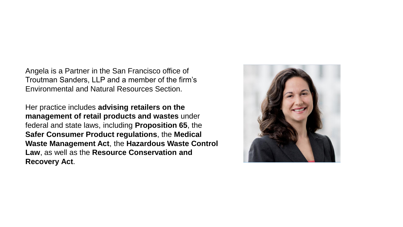Angela is a Partner in the San Francisco office of Troutman Sanders, LLP and a member of the firm's Environmental and Natural Resources Section.

Her practice includes **advising retailers on the management of retail products and wastes** under federal and state laws, including **Proposition 65**, the **Safer Consumer Product regulations**, the **Medical Waste Management Act**, the **Hazardous Waste Control Law**, as well as the **Resource Conservation and Recovery Act**.

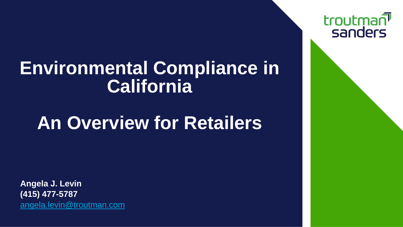## **Environmental Compliance in California**

# **An Overview for Retailers**

**Angela J. Levin (415) 477-5787** [angela.levin@troutman.com](mailto:angela.levin@troutman.com) troutman sanders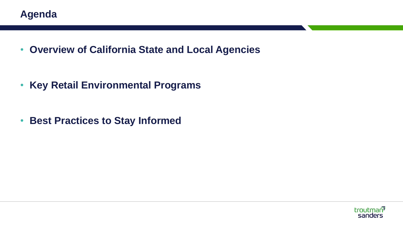• **Overview of California State and Local Agencies**

• **Key Retail Environmental Programs**

• **Best Practices to Stay Informed**

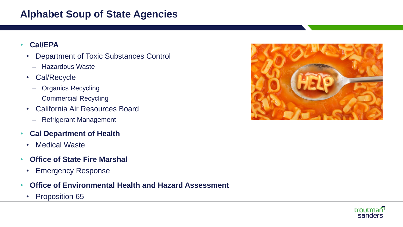#### **Alphabet Soup of State Agencies**

#### • **Cal/EPA**

- Department of Toxic Substances Control
	- Hazardous Waste
- Cal/Recycle
	- Organics Recycling
	- Commercial Recycling
- California Air Resources Board
	- Refrigerant Management
- **Cal Department of Health**
	- Medical Waste
- **Office of State Fire Marshal**
	- Emergency Response
- **Office of Environmental Health and Hazard Assessment**
	- Proposition 65



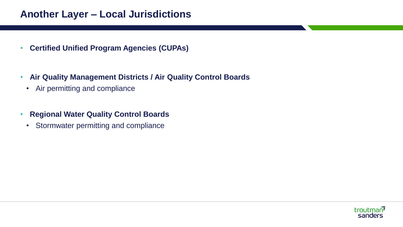#### **Another Layer – Local Jurisdictions**

- **Certified Unified Program Agencies (CUPAs)**
- **Air Quality Management Districts / Air Quality Control Boards**
	- Air permitting and compliance
- **Regional Water Quality Control Boards**
	- Stormwater permitting and compliance

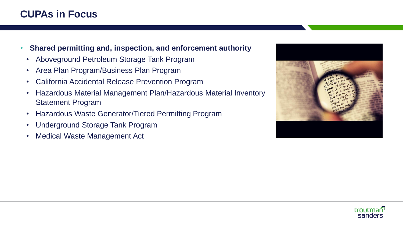### **CUPAs in Focus**

- **Shared permitting and, inspection, and enforcement authority**
	- Aboveground Petroleum Storage Tank Program
	- Area Plan Program/Business Plan Program
	- California Accidental Release Prevention Program
	- Hazardous Material Management Plan/Hazardous Material Inventory Statement Program
	- Hazardous Waste Generator/Tiered Permitting Program
	- Underground Storage Tank Program
	- Medical Waste Management Act



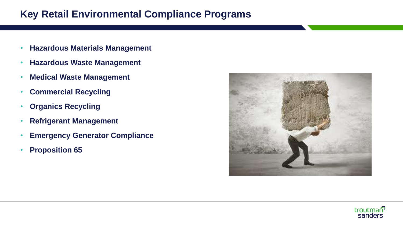#### **Key Retail Environmental Compliance Programs**

- **Hazardous Materials Management**
- **Hazardous Waste Management**
- **Medical Waste Management**
- **Commercial Recycling**
- **Organics Recycling**
- **Refrigerant Management**
- **Emergency Generator Compliance**
- **Proposition 65**



![](_page_11_Picture_10.jpeg)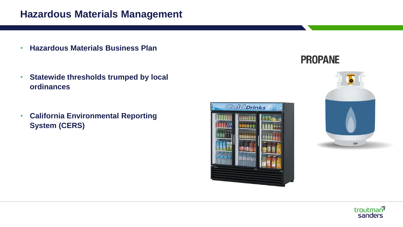#### **Hazardous Materials Management**

- **Hazardous Materials Business Plan**
- **Statewide thresholds trumped by local ordinances**
- **California Environmental Reporting System (CERS)**

![](_page_12_Picture_4.jpeg)

### **PROPANE**

![](_page_12_Picture_6.jpeg)

![](_page_12_Picture_7.jpeg)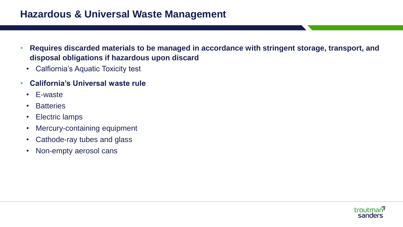#### **Hazardous & Universal Waste Management**

- **Requires discarded materials to be managed in accordance with stringent storage, transport, and disposal obligations if hazardous upon discard**
	- Calfiornia's Aquatic Toxicity test
- **California's Universal waste rule**
	- E-waste
	- Batteries
	- Electric lamps
	- Mercury-containing equipment
	- Cathode-ray tubes and glass
	- Non-empty aerosol cans

![](_page_13_Picture_10.jpeg)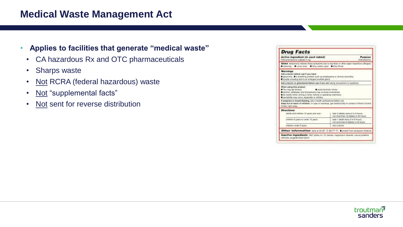#### **Medical Waste Management Act**

- **Applies to facilities that generate "medical waste"**
	- CA hazardous Rx and OTC pharmaceuticals
	- Sharps waste
	- Not RCRA (federal hazardous) waste
	- Not "supplemental facts"
	- Not sent for reverse distribution

| <b>Drug Facts</b>                                                                                                                                                                                                                                                                                                                                                                                                                                        |                                                                             |
|----------------------------------------------------------------------------------------------------------------------------------------------------------------------------------------------------------------------------------------------------------------------------------------------------------------------------------------------------------------------------------------------------------------------------------------------------------|-----------------------------------------------------------------------------|
| Active ingredient (in each tablet)<br>ChieryPrentschenken maleade 2 mg process substitutions assumes a construction of a substitution of AntiFredericke                                                                                                                                                                                                                                                                                                  | Parpese                                                                     |
| Disers temporarily release these symptoms due to hay been or other soper respiratory allergies:<br>E presiding. El runny hous. El boro, mobile audo. El boro firmal                                                                                                                                                                                                                                                                                      |                                                                             |
| <b>Maritimas</b><br>Ask a doctor before use if you have<br>pleasants. It a breathing problem such as employers or chronic branchite.<br>Ensity eldow percent as of eat-present provided a                                                                                                                                                                                                                                                                |                                                                             |
| Ask a doctor or pharmacial before use if you are inking tranquilates or sedulives                                                                                                                                                                                                                                                                                                                                                                        |                                                                             |
| When same this greater<br>Visit may get drowly<br>aread alcoholic chicks.<br>secured, securities, and bampolizers may increase choosiness.<br>to carsful when priving a motor vehicle or sperating machinery<br>sectionly two copy, expecials in chicken<br>If pregnant or broast-feeding, six a health princesonal before use.<br>Kang out of reach of children, in case of overboxs, got medical help or contact a Palson Central<br>CHEW right auto - |                                                                             |
| <b>Directions</b>                                                                                                                                                                                                                                                                                                                                                                                                                                        |                                                                             |
| hour line seem 12 resolute line aftable                                                                                                                                                                                                                                                                                                                                                                                                                  | loke 2 labools every 4 to 6 bours;<br>not more than 12 tablets in 24 hours. |
| children 6 sears in under 12 years.                                                                                                                                                                                                                                                                                                                                                                                                                      | late 1 island endry 4 to 6 hours.<br>riot reces than 8 tablets in 24 hours. |
| children under 6 sears.                                                                                                                                                                                                                                                                                                                                                                                                                                  | ask a clocker                                                               |
| Other Information store (0.25' C 657P F). Epotet for ecosoic module                                                                                                                                                                                                                                                                                                                                                                                      |                                                                             |
| Inactive ingredients OEC video no. 10, indoes riagerous steater managements                                                                                                                                                                                                                                                                                                                                                                              |                                                                             |
| cellulcan, pregelatinized standy-                                                                                                                                                                                                                                                                                                                                                                                                                        |                                                                             |

![](_page_14_Picture_8.jpeg)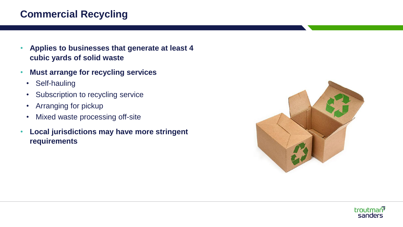### **Commercial Recycling**

- **Applies to businesses that generate at least 4 cubic yards of solid waste**
- **Must arrange for recycling services**
	- Self-hauling
	- Subscription to recycling service
	- Arranging for pickup
	- Mixed waste processing off-site
- **Local jurisdictions may have more stringent requirements**

![](_page_15_Picture_8.jpeg)

![](_page_15_Picture_9.jpeg)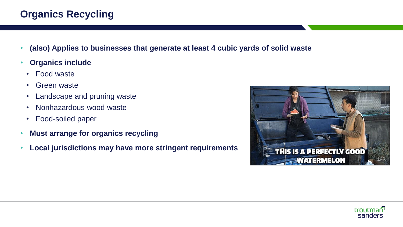### **Organics Recycling**

- **(also) Applies to businesses that generate at least 4 cubic yards of solid waste**
- **Organics include**
	- Food waste
	- Green waste
	- Landscape and pruning waste
	- Nonhazardous wood waste
	- Food-soiled paper
- **Must arrange for organics recycling**
- **Local jurisdictions may have more stringent requirements**

![](_page_16_Picture_10.jpeg)

![](_page_16_Picture_11.jpeg)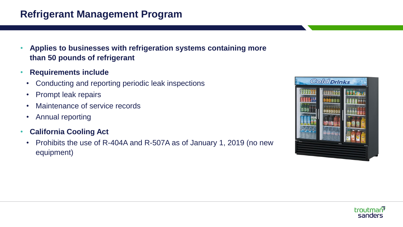#### **Refrigerant Management Program**

- **Applies to businesses with refrigeration systems containing more than 50 pounds of refrigerant**
- **Requirements include**
	- Conducting and reporting periodic leak inspections
	- Prompt leak repairs
	- Maintenance of service records
	- Annual reporting
- **California Cooling Act**
	- Prohibits the use of R-404A and R-507A as of January 1, 2019 (no new equipment)

![](_page_17_Picture_9.jpeg)

![](_page_17_Picture_10.jpeg)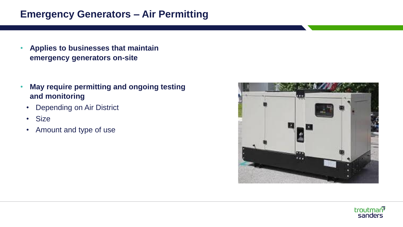#### **Emergency Generators – Air Permitting**

- **Applies to businesses that maintain emergency generators on-site**
- **May require permitting and ongoing testing and monitoring**
	- Depending on Air District
	- Size
	- Amount and type of use

![](_page_18_Picture_6.jpeg)

![](_page_18_Picture_7.jpeg)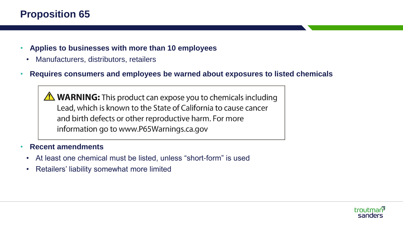### **Proposition 65**

- **Applies to businesses with more than 10 employees**
	- Manufacturers, distributors, retailers
- **Requires consumers and employees be warned about exposures to listed chemicals**

**A WARNING:** This product can expose you to chemicals including Lead, which is known to the State of California to cause cancer and birth defects or other reproductive harm. For more information go to www.P65Warnings.ca.gov

#### • **Recent amendments**

- At least one chemical must be listed, unless "short-form" is used
- Retailers' liability somewhat more limited

![](_page_19_Picture_8.jpeg)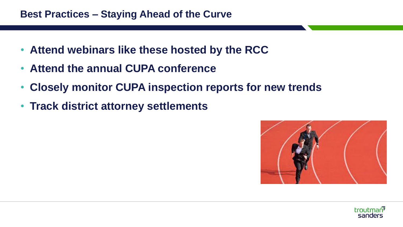- **Attend webinars like these hosted by the RCC**
- **Attend the annual CUPA conference**
- **Closely monitor CUPA inspection reports for new trends**
- **Track district attorney settlements**

![](_page_20_Picture_5.jpeg)

![](_page_20_Picture_6.jpeg)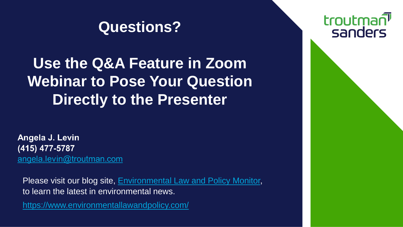## **Questions?**

## **Use the Q&A Feature in Zoom Webinar to Pose Your Question Directly to the Presenter**

Angela J. Levin (415) 477-5787 angela.levin@troutman.com

Please visit our blog site, **Environmental Law and Policy Monitor**, to learn the latest in environmental news.

<https://www.environmentallawandpolicy.com/>

## troutman<sup></sup> sanders